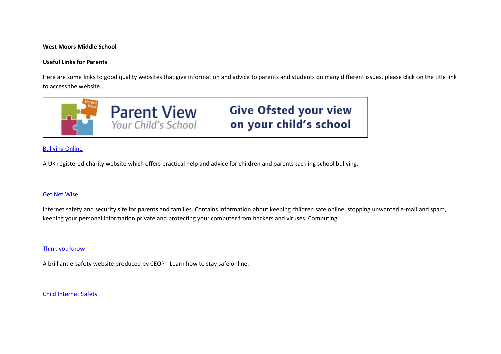#### **West Moors Middle School**

### **Useful Links for Parents**

Here are some links to good quality websites that give information and advice to parents and students on many different issues, please click on the title link to access the website...



# [Bullying Online](http://www.bullying.co.uk/)

A UK registered charity website which offers practical help and advice for children and parents tackling school bullying.

### [Get Net Wise](http://www.getnetwise.org/)

Internet safety and security site for parents and families. Contains information about keeping children safe online, stopping unwanted e-mail and spam, keeping your personal information private and protecting your computer from hackers and viruses. Computing

### **[Think you know](http://www.thinkuknow.co.uk/)**

A brilliant e-safety website produced by CEOP - Learn how to stay safe online.

### [Child Internet Safety](https://www.gov.uk/government/groups/uk-council-for-child-internet-safety-ukccis)